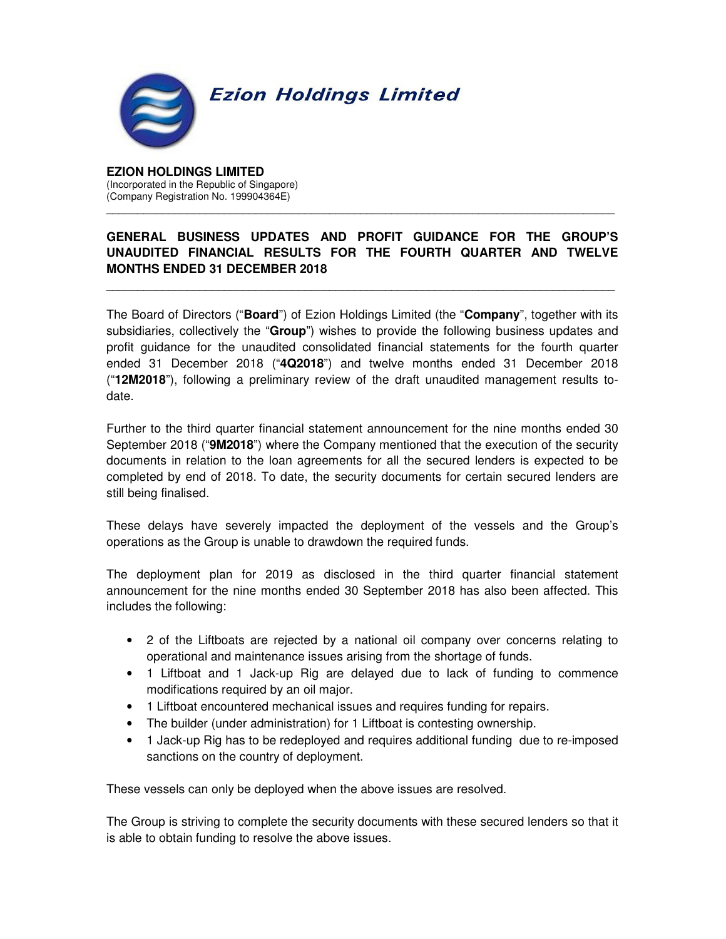

**EZION HOLDINGS LIMITED**  (Incorporated in the Republic of Singapore) (Company Registration No. 199904364E)

## **GENERAL BUSINESS UPDATES AND PROFIT GUIDANCE FOR THE GROUP'S UNAUDITED FINANCIAL RESULTS FOR THE FOURTH QUARTER AND TWELVE MONTHS ENDED 31 DECEMBER 2018**

**\_\_\_\_\_\_\_\_\_\_\_\_\_\_\_\_\_\_\_\_\_\_\_\_\_\_\_\_\_\_\_\_\_\_\_\_\_\_\_\_\_\_\_\_\_\_\_\_\_\_\_\_\_\_\_\_\_\_\_\_\_\_\_\_\_\_\_\_\_\_\_\_\_\_\_\_\_\_\_\_\_\_** 

\_\_\_\_\_\_\_\_\_\_\_\_\_\_\_\_\_\_\_\_\_\_\_\_\_\_\_\_\_\_\_\_\_\_\_\_\_\_\_\_\_\_\_\_\_\_\_\_\_\_\_\_\_\_\_\_\_\_\_\_\_\_\_\_\_\_\_\_\_\_\_\_\_\_\_\_\_\_\_\_\_\_

The Board of Directors ("**Board**") of Ezion Holdings Limited (the "**Company**", together with its subsidiaries, collectively the "**Group**") wishes to provide the following business updates and profit guidance for the unaudited consolidated financial statements for the fourth quarter ended 31 December 2018 ("**4Q2018**") and twelve months ended 31 December 2018 ("**12M2018**"), following a preliminary review of the draft unaudited management results todate.

Further to the third quarter financial statement announcement for the nine months ended 30 September 2018 ("**9M2018**") where the Company mentioned that the execution of the security documents in relation to the loan agreements for all the secured lenders is expected to be completed by end of 2018. To date, the security documents for certain secured lenders are still being finalised.

These delays have severely impacted the deployment of the vessels and the Group's operations as the Group is unable to drawdown the required funds.

The deployment plan for 2019 as disclosed in the third quarter financial statement announcement for the nine months ended 30 September 2018 has also been affected. This includes the following:

- 2 of the Liftboats are rejected by a national oil company over concerns relating to operational and maintenance issues arising from the shortage of funds.
- 1 Liftboat and 1 Jack-up Rig are delayed due to lack of funding to commence modifications required by an oil major.
- 1 Liftboat encountered mechanical issues and requires funding for repairs.
- The builder (under administration) for 1 Liftboat is contesting ownership.
- 1 Jack-up Rig has to be redeployed and requires additional funding due to re-imposed sanctions on the country of deployment.

These vessels can only be deployed when the above issues are resolved.

The Group is striving to complete the security documents with these secured lenders so that it is able to obtain funding to resolve the above issues.